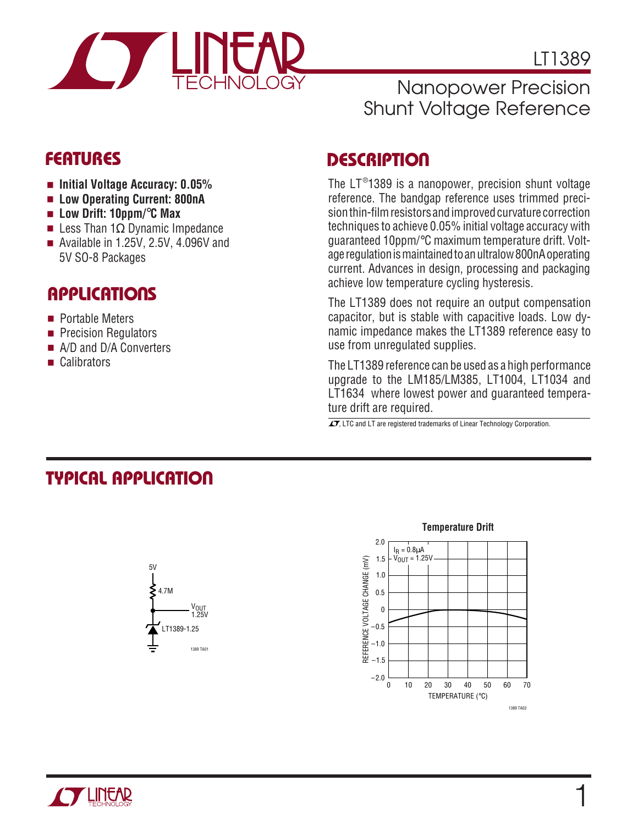

1

## Nanopower Precision Shunt Voltage Reference

- **Initial Voltage Accuracy: 0.05%**
- Low Operating Current: 800nA
- **Low Drift: 10ppm/**°**C Max**
- Less Than 1 $Ω$  Dynamic Impedance
- Available in 1.25V, 2.5V, 4.096V and 5V SO-8 Packages

## **APPLICATIONS**

- Portable Meters
- Precision Regulators
- A/D and D/A Converters
- Calibrators

## **DESCRIPTIO <sup>U</sup> FEATURES**

The LT $^{\circ}$ 1389 is a nanopower, precision shunt voltage reference. The bandgap reference uses trimmed precision thin-film resistors and improved curvature correction techniques to achieve 0.05% initial voltage accuracy with guaranteed 10ppm/°C maximum temperature drift. Voltage regulation is maintained to an ultralow 800nA operating current. Advances in design, processing and packaging achieve low temperature cycling hysteresis.

The LT1389 does not require an output compensation capacitor, but is stable with capacitive loads. Low dynamic impedance makes the LT1389 reference easy to use from unregulated supplies.

The LT1389 reference can be used as a high performance upgrade to the LM185/LM385, LT1004, LT1034 and LT1634 where lowest power and guaranteed temperature drift are required.

 $\overline{\mathcal{I}}$ , LTC and LT are registered trademarks of Linear Technology Corporation.

# **TYPICAL APPLICATION**



### **Temperature Drift** 2.0  $I<sub>R</sub> = 0.8<sub>µ</sub>A$  $V_{OUT} = 1.25V$ 1.5 REFERENCE VOLTAGE CHANGE (mV) REFERENCE VOLTAGE CHANGE (mV) 1.0 0.5 0 –0.5 –1.0  $-1.5$  $-2.0$ 50 60 70 0 10 20 40 30 TEMPERATURE (°C) 1389 TA02

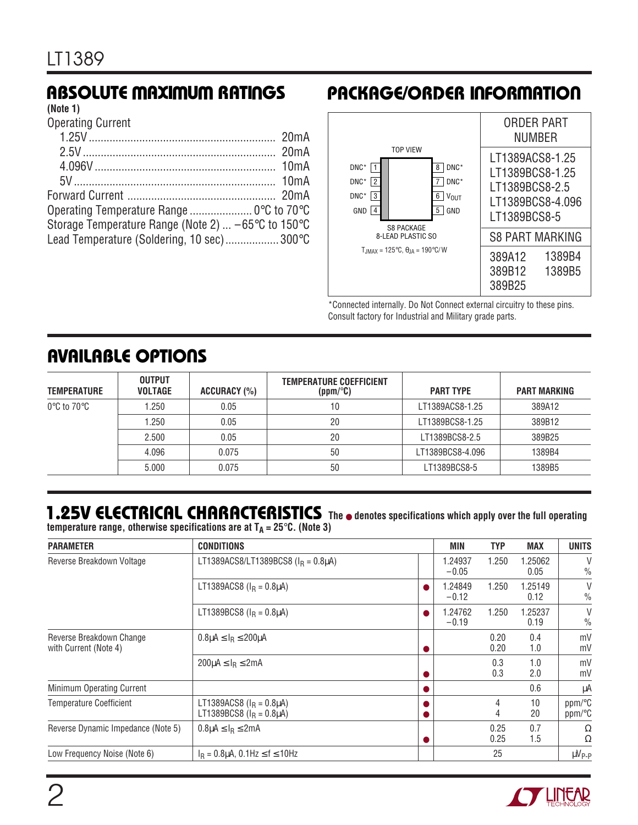## **(Note 1)**

Operating Current

| Operating Temperature Range  0°C to 70°C                                      |  |
|-------------------------------------------------------------------------------|--|
| Storage Temperature Range (Note 2) $\dots$ -65 $\degree$ C to 150 $\degree$ C |  |
| Lead Temperature (Soldering, 10 sec) 300°C                                    |  |
|                                                                               |  |

## **RBSOLUTE MAXIMUM RATINGS PACKAGE/ORDER INFORMATION**



\*Connected internally. Do Not Connect external circuitry to these pins. Consult factory for Industrial and Military grade parts.

## **AVAILABLE OPTIONS**

| <b>TEMPERATURE</b>               | <b>OUTPUT</b><br><b>VOLTAGE</b> | ACCURACY (%) | <b>TEMPERATURE COEFFICIENT</b><br>(ppm/°C) | <b>PART TYPE</b> | <b>PART MARKING</b> |
|----------------------------------|---------------------------------|--------------|--------------------------------------------|------------------|---------------------|
| $0^{\circ}$ C to 70 $^{\circ}$ C | 1.250                           | 0.05         | 10                                         | LT1389ACS8-1.25  | 389A12              |
|                                  | 1.250                           | 0.05         | 20                                         | LT1389BCS8-1.25  | 389B12              |
|                                  | 2.500                           | 0.05         | 20                                         | LT1389BCS8-2.5   | 389B25              |
|                                  | 4.096                           | 0.075        | 50                                         | LT1389BCS8-4.096 | 1389B4              |
|                                  | 5.000                           | 0.075        | 50                                         | LT1389BCS8-5     | 1389B5              |

## **1.25V ELECTRICAL CHARACTERISTICS** The  $\bullet$  denotes specifications which apply over the full operating

**temperature range, otherwise specifications are at**  $T_A = 25^\circ C$ **. (Note 3)** 

| <b>PARAMETER</b>                                  | <b>CONDITIONS</b>                                                    | <b>MIN</b>         | <b>TYP</b>   | <b>MAX</b>      | <b>UNITS</b>                     |
|---------------------------------------------------|----------------------------------------------------------------------|--------------------|--------------|-----------------|----------------------------------|
| Reverse Breakdown Voltage                         | LT1389ACS8/LT1389BCS8 ( $I_R = 0.8 \mu$ A)                           | 1.24937<br>$-0.05$ | 1.250        | 1.25062<br>0.05 | $\vee$<br>$\frac{0}{0}$          |
|                                                   | LT1389ACS8 ( $I_R = 0.8 \mu A$ )                                     | 1.24849<br>$-0.12$ | 1.250        | 1.25149<br>0.12 | V<br>$\%$                        |
|                                                   | LT1389BCS8 ( $I_R = 0.8 \mu A$ )                                     | 1.24762<br>$-0.19$ | 1.250        | 1.25237<br>0.19 | V<br>$\frac{0}{0}$               |
| Reverse Breakdown Change<br>with Current (Note 4) | $0.8\mu A \leq I_R \leq 200\mu A$                                    |                    | 0.20<br>0.20 | 0.4<br>1.0      | mV<br>mV                         |
|                                                   | $200\mu A \leq I_R \leq 2mA$                                         |                    | 0.3<br>0.3   | 1.0<br>2.0      | mV<br>mV                         |
| Minimum Operating Current                         |                                                                      |                    |              | 0.6             | μA                               |
| <b>Temperature Coefficient</b>                    | LT1389ACS8 ( $I_R = 0.8 \mu A$ )<br>LT1389BCS8 ( $I_R = 0.8 \mu A$ ) |                    | 4<br>4       | 10<br>20        | $ppm$ <sup>o</sup> $C$<br>ppm/°C |
| Reverse Dynamic Impedance (Note 5)                | $0.8\mu A \leq I_R \leq 2mA$                                         |                    | 0.25<br>0.25 | 0.7<br>1.5      | Ω<br>Ω                           |
| Low Frequency Noise (Note 6)                      | $I_R = 0.8 \mu A$ , 0.1Hz $\le f \le 10$ Hz                          |                    | 25           |                 | $\mu V_{P-P}$                    |

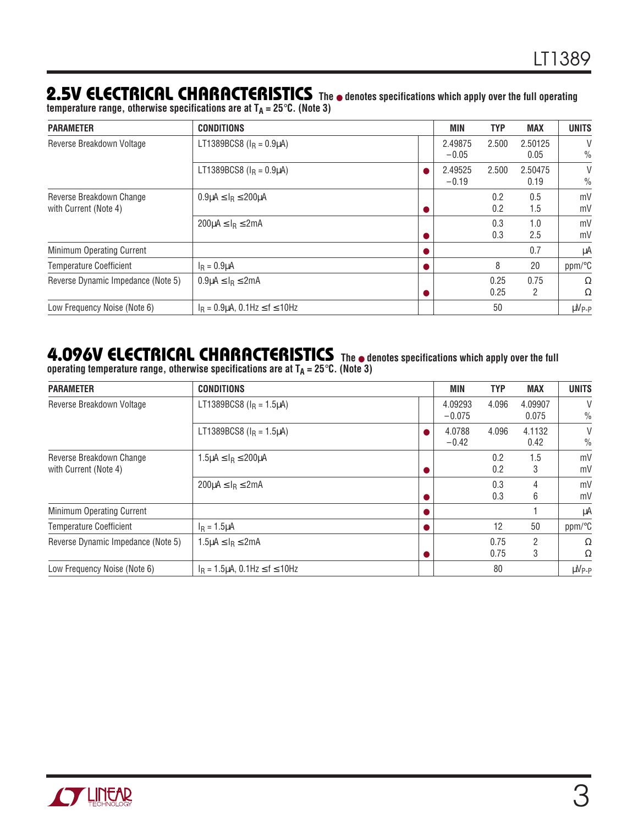## **2.5V ELECTRICAL CHARACTERISTICS The** ● **denotes specifications which apply over the full operating**

temperature range, otherwise specifications are at T<sub>A</sub> = 25°C. (Note 3)

| <b>PARAMETER</b>                                  | <b>CONDITIONS</b>                                   | MIN                | <b>TYP</b>   | <b>MAX</b>      | <b>UNITS</b>       |
|---------------------------------------------------|-----------------------------------------------------|--------------------|--------------|-----------------|--------------------|
| Reverse Breakdown Voltage                         | LT1389BCS8 ( $I_R = 0.9 \mu A$ )                    | 2.49875<br>$-0.05$ | 2.500        | 2.50125<br>0.05 | V<br>$\frac{0}{0}$ |
|                                                   | LT1389BCS8 ( $I_R = 0.9 \mu A$ )                    | 2.49525<br>$-0.19$ | 2.500        | 2.50475<br>0.19 | V<br>$\frac{0}{0}$ |
| Reverse Breakdown Change<br>with Current (Note 4) | $0.9\mu$ A $\leq$ I <sub>R</sub> $\leq$ 200 $\mu$ A |                    | 0.2<br>0.2   | 0.5<br>1.5      | mV<br>mV           |
|                                                   | $200\mu A \leq I_R \leq 2mA$                        |                    | 0.3<br>0.3   | 1.0<br>2.5      | mV<br>mV           |
| Minimum Operating Current                         |                                                     |                    |              | 0.7             | μA                 |
| <b>Temperature Coefficient</b>                    | $I_R = 0.9 \mu A$                                   |                    | 8            | 20              | ppm/°C             |
| Reverse Dynamic Impedance (Note 5)                | $0.9\mu A \leq I_R \leq 2mA$                        |                    | 0.25<br>0.25 | 0.75<br>2       | Ω<br>Ω             |
| Low Frequency Noise (Note 6)                      | $I_R = 0.9 \mu A$ , 0.1Hz $\le f \le 10$ Hz         |                    | 50           |                 | $\mu V_{P-P}$      |

## **4.096V ELECTRICAL CHARACTERISTICS The** ● **denotes specifications which apply over the full**

**operating temperature range, otherwise specifications are at TA = 25**°**C. (Note 3)**

| <b>PARAMETER</b>                                  | <b>CONDITIONS</b>                                   | <b>MIN</b>          | <b>TYP</b>   | <b>MAX</b>       | <b>UNITS</b>            |
|---------------------------------------------------|-----------------------------------------------------|---------------------|--------------|------------------|-------------------------|
| Reverse Breakdown Voltage                         | LT1389BCS8 ( $I_R$ = 1.5 $\mu$ A)                   | 4.09293<br>$-0.075$ | 4.096        | 4.09907<br>0.075 | V<br>$\frac{0}{0}$      |
|                                                   | LT1389BCS8 ( $I_R = 1.5 \mu A$ )                    | 4.0788<br>$-0.42$   | 4.096        | 4.1132<br>0.42   | $\vee$<br>$\frac{0}{0}$ |
| Reverse Breakdown Change<br>with Current (Note 4) | $1.5\mu$ A $\leq$ I <sub>R</sub> $\leq$ 200 $\mu$ A |                     | 0.2<br>0.2   | 1.5<br>3         | mV<br>mV                |
|                                                   | $200\mu A \leq I_R \leq 2mA$                        |                     | 0.3<br>0.3   | 4<br>6           | mV<br>mV                |
| Minimum Operating Current                         |                                                     |                     |              |                  | μA                      |
| <b>Temperature Coefficient</b>                    | $I_R = 1.5 \mu A$                                   |                     | 12           | 50               | ppm/°C                  |
| Reverse Dynamic Impedance (Note 5)                | $1.5\mu A \leq I_R \leq 2mA$                        |                     | 0.75<br>0.75 | 3                | Ω<br>Ω                  |
| Low Frequency Noise (Note 6)                      | $I_R = 1.5 \mu A$ , 0.1Hz $\leq f \leq 10$ Hz       |                     | 80           |                  | $\mu V_{P-P}$           |

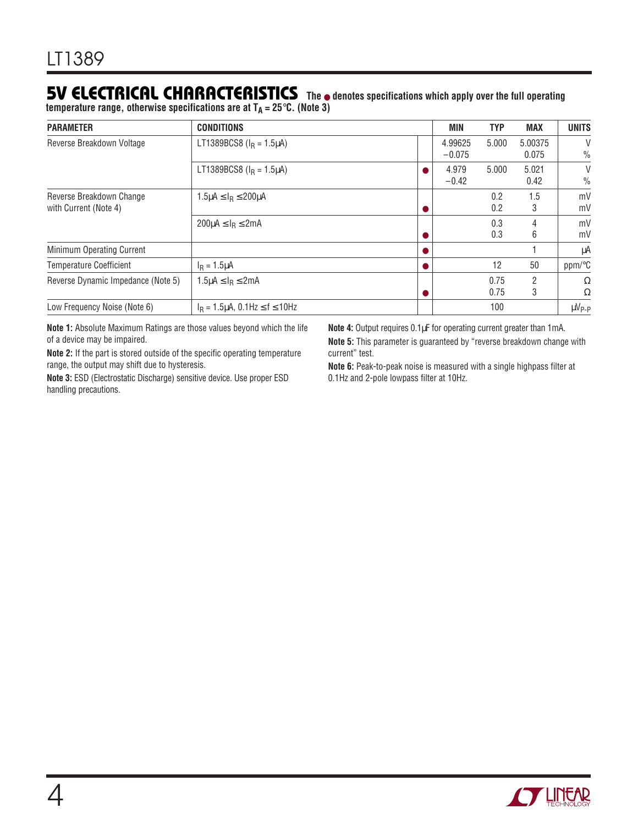## **5V ELECTRICAL CHARACTERISTICS The** ● **denotes specifications which apply over the full operating**

temperature range, otherwise specifications are at T<sub>A</sub> = 25°C. (Note 3)

| <b>PARAMETER</b>                                  | <b>CONDITIONS</b>                                   | MIN                 | <b>TYP</b>   | <b>MAX</b>       | <b>UNITS</b>       |
|---------------------------------------------------|-----------------------------------------------------|---------------------|--------------|------------------|--------------------|
| Reverse Breakdown Voltage                         | LT1389BCS8 ( $I_R = 1.5 \mu A$ )                    | 4.99625<br>$-0.075$ | 5.000        | 5.00375<br>0.075 | V<br>$\frac{0}{0}$ |
|                                                   | LT1389BCS8 ( $I_R = 1.5 \mu A$ )                    | 4.979<br>$-0.42$    | 5.000        | 5.021<br>0.42    | V<br>$\frac{0}{0}$ |
| Reverse Breakdown Change<br>with Current (Note 4) | $1.5\mu$ A $\leq$ I <sub>R</sub> $\leq$ 200 $\mu$ A |                     | 0.2<br>0.2   | 1.5<br>3         | mV<br>mV           |
|                                                   | $200\mu$ A $\leq$ I <sub>R</sub> $\leq$ 2mA         |                     | 0.3<br>0.3   | 4<br>6           | mV<br>mV           |
| Minimum Operating Current                         |                                                     |                     |              |                  | μA                 |
| <b>Temperature Coefficient</b>                    | $I_R = 1.5 \mu A$                                   |                     | 12           | 50               | ppm/°C             |
| Reverse Dynamic Impedance (Note 5)                | $1.5\mu A \leq I_R \leq 2mA$                        |                     | 0.75<br>0.75 | 2<br>3           | Ω<br>Ω             |
| Low Frequency Noise (Note 6)                      | $I_R = 1.5 \mu A$ , 0.1Hz $\le f \le 10$ Hz         |                     | 100          |                  | $\mu V_{P-P}$      |

**Note 1:** Absolute Maximum Ratings are those values beyond which the life of a device may be impaired.

**Note 2:** If the part is stored outside of the specific operating temperature range, the output may shift due to hysteresis.

**Note 3:** ESD (Electrostatic Discharge) sensitive device. Use proper ESD handling precautions.

**Note 4:** Output requires 0.1µF for operating current greater than 1mA.

**Note 5:** This parameter is guaranteed by "reverse breakdown change with current" test.

**Note 6:** Peak-to-peak noise is measured with a single highpass filter at 0.1Hz and 2-pole lowpass filter at 10Hz.

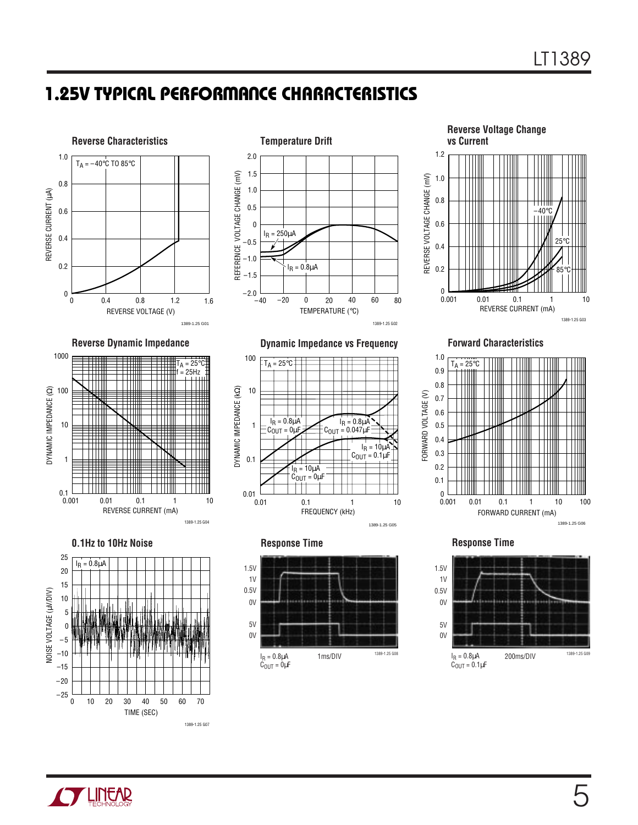# **1.25V TYPICAL PERFORMANCE CHARACTERISTICS**



**Reverse Dynamic Impedance Dynamic Impedance vs Frequency Forward Characteristics**







**Reverse Voltage Change vs Current** REVERSE CURRENT (mA) 0.4 REVERSE VOLTAGE CHANGE (mV)<br>
0.8<br>
0.8<br>
0.8<br>
0.8 1.2 0.001 0.01 0.1 1 10 1389-1.25 G03 0 0.6 1.0 0.2 0.01 25°C 85°C  $-40^\circ$ 



**Response Time**

 $I_R = 10 \mu \overline{A}$  $C_{\text{OUT}} = 0 \mu F$ 

 $I_R = 0.8\mu\text{A}$ <br>C<sub>OULT</sub> = 0 H  $= 0 \mu F$ 

 $T_A = 25^{\circ}C$ 

0.1

0.01  $0.01$ 

10

100

DYNAMIC IMPEDANCE (k DYNAMIC IMPEDANCE (KQ) 1



FREQUENCY (kHz)

0.1 1 10

l<sub>R</sub> = 0.8μA COUT = 0.047µF

1389-1.25 G05

 $I_R = 10 \mu A$  $C_{\text{OUT}} = 0.1 \mu F$ 

**Response Time**



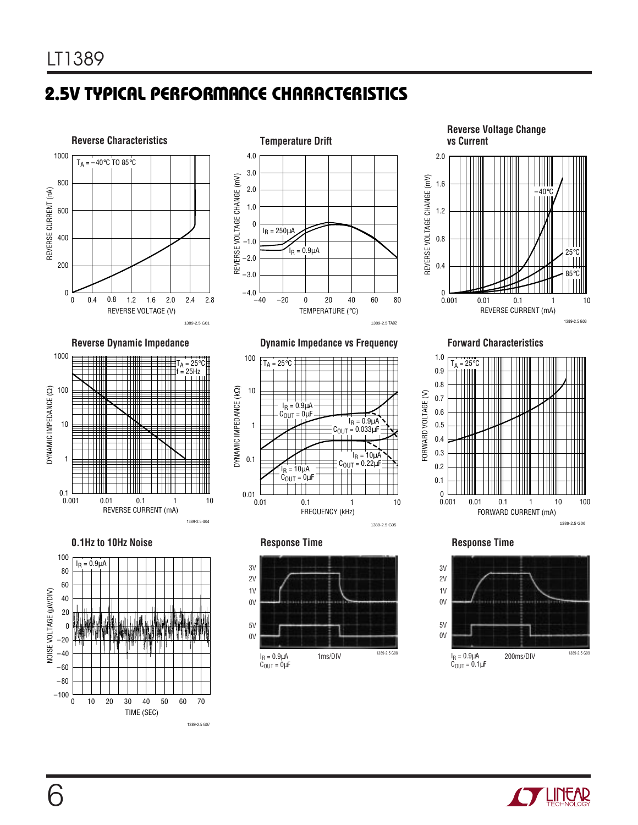# **2.5V TYPICAL PERFORMANCE CHARACTERISTICS**













**Reverse Dynamic Impedance Dynamic Impedance vs Frequency Forward Characteristics**



**Response Time**

1ms/DIV 1389-2.5 G08

0V

1V 2V

5V 0V

> $I_R = 0.9 \mu A$  $C_{\text{OUT}} = 0 \mu F$

3V





1389-2.5 G06

## **Response Time**



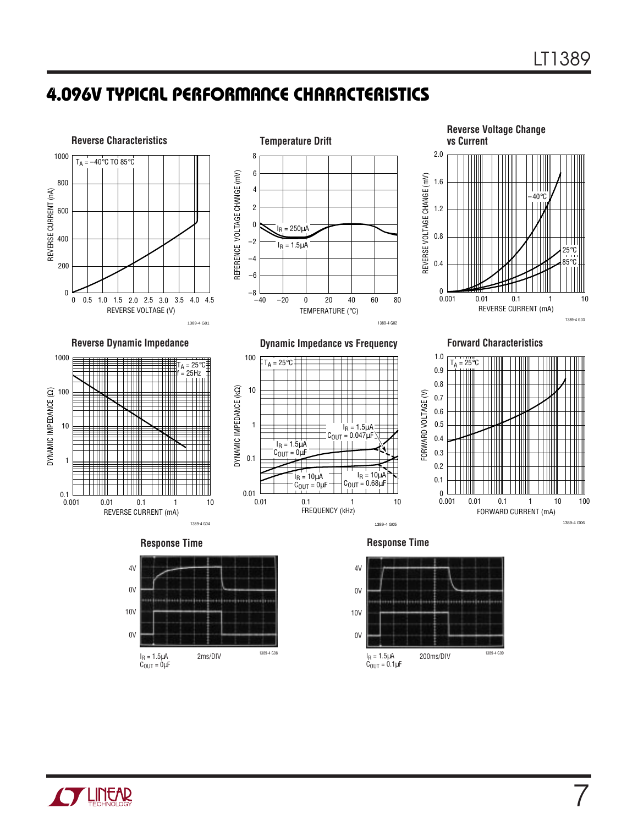7

# **4.096V TYPICAL PERFORMANCE CHARACTERISTICS**







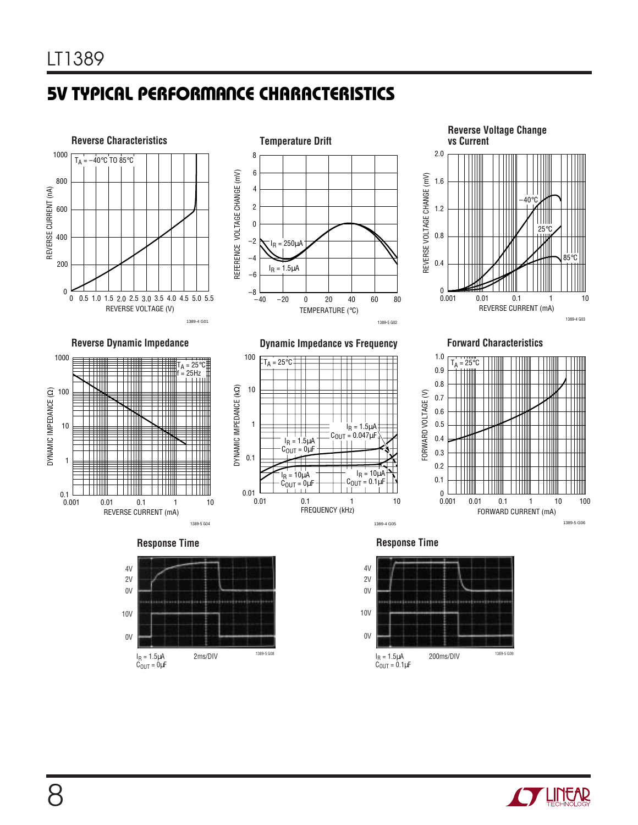# **5V TYPICAL PERFORMANCE CHARACTERISTICS**









REVERSE CURRENT (mA)



1389-5 G04

**Response Time**

1389-4 G05

FREQUENCY (kHz)



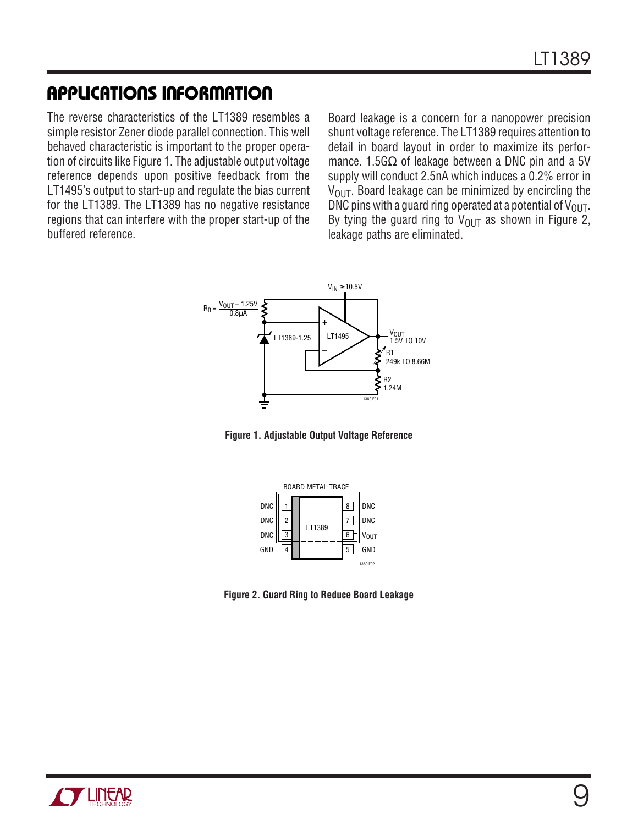## **APPLICATIONS INFORMATION**

The reverse characteristics of the LT1389 resembles a simple resistor Zener diode parallel connection. This well behaved characteristic is important to the proper operation of circuits like Figure 1. The adjustable output voltage reference depends upon positive feedback from the LT1495's output to start-up and regulate the bias current for the LT1389. The LT1389 has no negative resistance regions that can interfere with the proper start-up of the buffered reference.

Board leakage is a concern for a nanopower precision shunt voltage reference. The LT1389 requires attention to detail in board layout in order to maximize its performance. 1.5G $\Omega$  of leakage between a DNC pin and a 5V supply will conduct 2.5nA which induces a 0.2% error in  $V<sub>OIII</sub>$ . Board leakage can be minimized by encircling the DNC pins with a guard ring operated at a potential of  $V_{\text{OUT}}$ . By tying the guard ring to  $V_{\text{OUT}}$  as shown in Figure 2, leakage paths are eliminated.







**Figure 2. Guard Ring to Reduce Board Leakage**

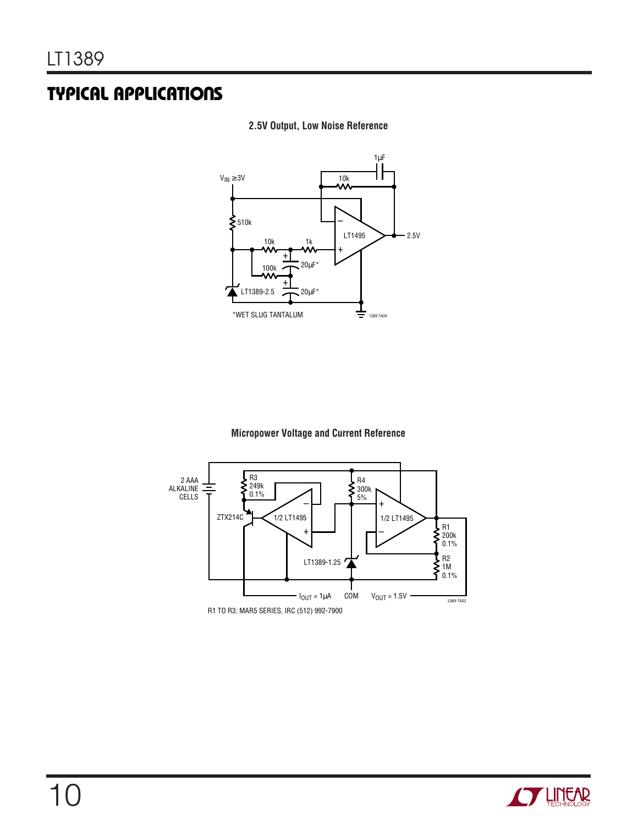## **TYPICAL APPLICATIONS**





## **Micropower Voltage and Current Reference**



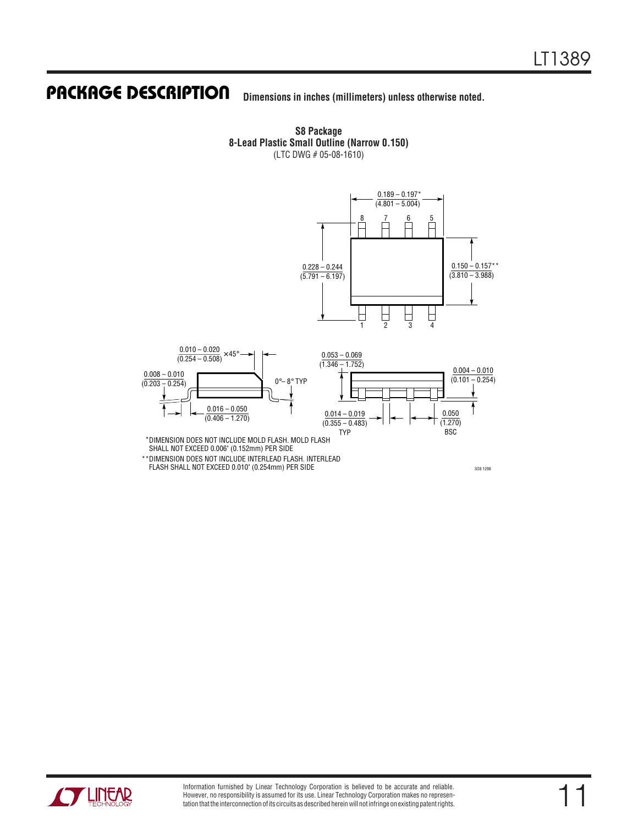### **Dimensions in inches (millimeters) unless otherwise noted. U PACKAGE DESCRIPTIO**

**S8 Package 8-Lead Plastic Small Outline (Narrow 0.150)** (LTC DWG # 05-08-1610)



DIMENSION DOES NOT INCLUDE MOLD FLASH. MOLD FLASH \* SHALL NOT EXCEED 0.006" (0.152mm) PER SIDE

\*\* DIMENSION DOES NOT INCLUDE INTERLEAD FLASH. INTERLEAD FLASH SHALL NOT EXCEED 0.010" (0.254mm) PER SIDE

SO8 1298